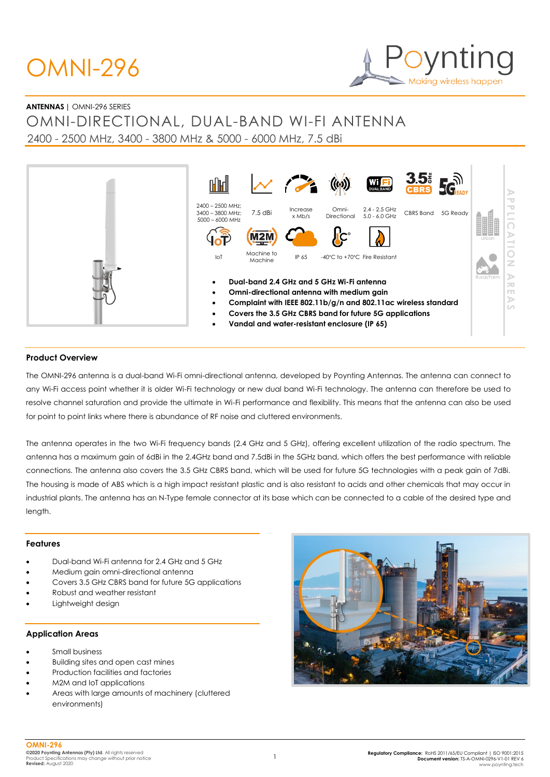# OMNI-296



#### **ANTENNAS |** OMNI-296 SERIES

OMNI-DIRECTIONAL, DUAL-BAND WI-FI ANTENNA 2400 - 2500 MHz, 3400 - 3800 MHz & 5000 - 6000 MHz, 7.5 dBi



#### **Product Overview**

The OMNI-296 antenna is a dual-band Wi-Fi omni-directional antenna, developed by Poynting Antennas. The antenna can connect to any Wi-Fi access point whether it is older Wi-Fi technology or new dual band Wi-Fi technology. The antenna can therefore be used to resolve channel saturation and provide the ultimate in Wi-Fi performance and flexibility. This means that the antenna can also be used for point to point links where there is abundance of RF noise and cluttered environments.

The antenna operates in the two Wi-Fi frequency bands (2.4 GHz and 5 GHz), offering excellent utilization of the radio spectrum. The antenna has a maximum gain of 6dBi in the 2.4GHz band and 7.5dBi in the 5GHz band, which offers the best performance with reliable connections. The antenna also covers the 3.5 GHz CBRS band, which will be used for future 5G technologies with a peak gain of 7dBi. The housing is made of ABS which is a high impact resistant plastic and is also resistant to acids and other chemicals that may occur in industrial plants. The antenna has an N-Type female connector at its base which can be connected to a cable of the desired type and length.

#### **Features**

- Dual-band Wi-Fi antenna for 2.4 GHz and 5 GHz
- Medium gain omni-directional antenna
- Covers 3.5 GHz CBRS band for future 5G applications
- Robust and weather resistant
- Lightweight design

#### **Application Areas**

- Small business
- Building sites and open cast mines
- Production facilities and factories
- M2M and IoT applications
- Areas with large amounts of machinery (cluttered environments)

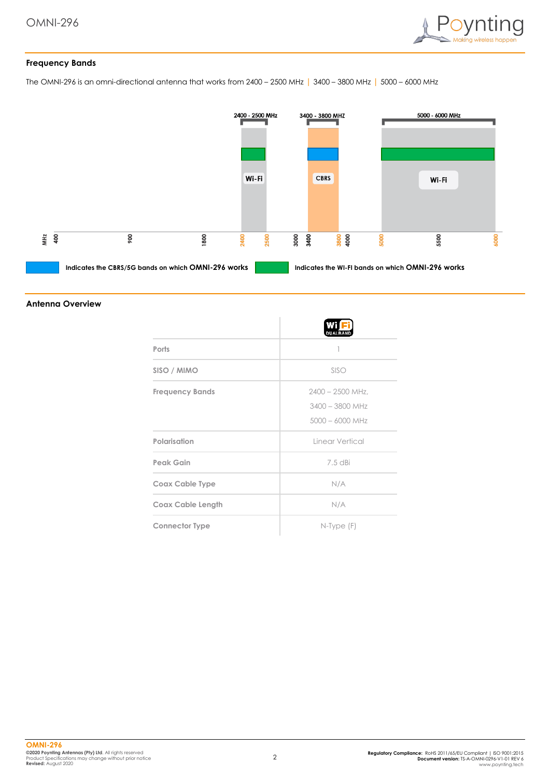

#### **Frequency Bands**

The OMNI-296 is an omni-directional antenna that works from 2400 – 2500 MHz | 3400 – 3800 MHz | 5000 – 6000 MHz



#### **Antenna Overview**

|                          | <b>DUALBAND</b>                                              |
|--------------------------|--------------------------------------------------------------|
| Ports                    |                                                              |
| SISO / MIMO              | SISO                                                         |
| <b>Frequency Bands</b>   | $2400 - 2500$ MHz.<br>$3400 - 3800$ MHz<br>$5000 - 6000$ MHz |
| Polarisation             | Linear Vertical                                              |
| Peak Gain                | 7.5 dBi                                                      |
| Coax Cable Type          | N/A                                                          |
| <b>Coax Cable Length</b> | N/A                                                          |
| <b>Connector Type</b>    | $N$ -Type $(F)$                                              |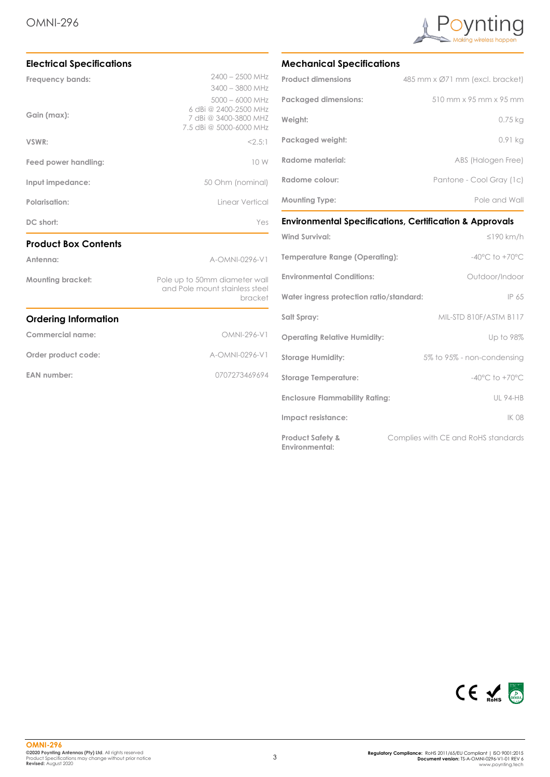

| <b>Electrical Specifications</b> |                                                                                   |  |  |
|----------------------------------|-----------------------------------------------------------------------------------|--|--|
| <b>Frequency bands:</b>          | $2400 - 2500$ MHz<br>$3400 - 3800$ MHz<br>$5000 - 6000$ MHz                       |  |  |
| Gain (max):                      | 6 dBi @ 2400-2500 MHz<br>7 dBi @ 3400-3800 MHZ<br>7.5 dBi @ 5000-6000 MHz         |  |  |
| VSWR:                            | 2.5:1                                                                             |  |  |
| Feed power handling:             | 10 W                                                                              |  |  |
| Input impedance:                 | 50 Ohm (nominal)                                                                  |  |  |
| Polarisation:                    | Linear Vertical                                                                   |  |  |
| DC short:                        | Yes                                                                               |  |  |
| <b>Product Box Contents</b>      |                                                                                   |  |  |
| Antenna:                         | A-OMNI-0296-V1                                                                    |  |  |
| <b>Mounting bracket:</b>         | Pole up to 50mm diameter wall<br>and Pole mount stainless steel<br><b>bracket</b> |  |  |
| <b>Ordering Information</b>      |                                                                                   |  |  |
| Commercial name:                 | OMNI-296-V1                                                                       |  |  |
| Order product code:              | A-OMNI-0296-V1                                                                    |  |  |
| <b>EAN number:</b>               | 0707273469694                                                                     |  |  |

#### **Mechanical Specifications**

| <b>Product dimensions</b>   | 485 mm x Ø71 mm (excl. bracket) |
|-----------------------------|---------------------------------|
| <b>Packaged dimensions:</b> | 510 mm x 95 mm x 95 mm          |
| Weight:                     | $0.75$ kg                       |
| Packaged weight:            | 0.91 kg                         |
| Radome material:            | ABS (Halogen Free)              |
| Radome colour:              | Pantone - Cool Gray (1c)        |
| <b>Mounting Type:</b>       | Pole and Wall                   |

**Environmental Specifications, Certification & Approvals**

| <b>Wind Survival:</b>                                | $\leq$ 190 km/h                     |
|------------------------------------------------------|-------------------------------------|
| Temperature Range (Operating):                       | $-40^{\circ}$ C to $+70^{\circ}$ C  |
| <b>Environmental Conditions:</b>                     | Outdoor/Indoor                      |
| Water ingress protection ratio/standard:             | IP 65                               |
| Salt Spray:                                          | MIL-STD 810F/ASTM B117              |
| <b>Operating Relative Humidity:</b>                  | Up to 98%                           |
| <b>Storage Humidity:</b>                             | 5% to 95% - non-condensing          |
| <b>Storage Temperature:</b>                          | $-40^{\circ}$ C to $+70^{\circ}$ C  |
| <b>Enclosure Flammability Rating:</b>                | <b>UL 94-HB</b>                     |
| Impact resistance:                                   | <b>IK 08</b>                        |
| <b>Product Safety &amp;</b><br><b>Environmental:</b> | Complies with CE and RoHS standards |

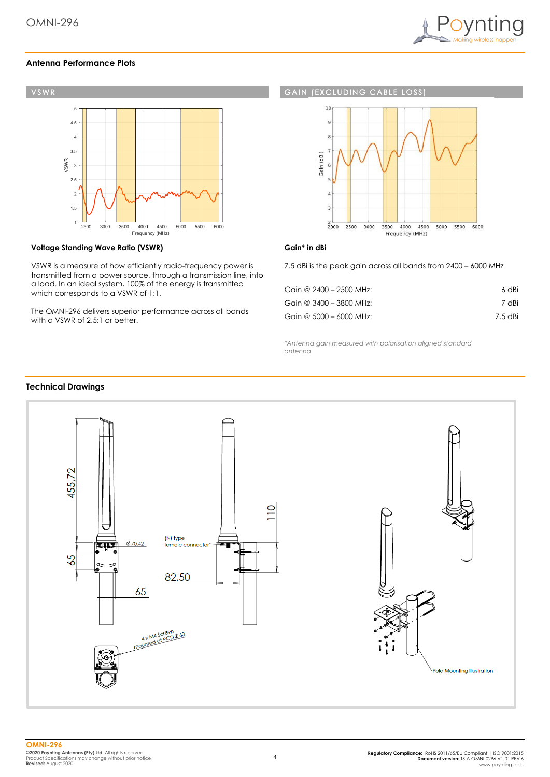

#### **Antenna Performance Plots**



#### **Voltage Standing Wave Ratio (VSWR)**

VSWR is a measure of how efficiently radio-frequency power is transmitted from a power source, through a transmission line, into a load. In an ideal system, 100% of the energy is transmitted which corresponds to a VSWR of 1:1.

The OMNI-296 delivers superior performance across all bands with a VSWR of 2.5:1 or better.

#### **GAIN (EXCLUDING CABLE**  $1032$



#### **Gain\* in dBi**

7.5 dBi is the peak gain across all bands from 2400 – 6000 MHz

| Gain @ 2400 - 2500 MHz: | 6 dBi   |
|-------------------------|---------|
| Gain @ 3400 - 3800 MHz: | 7 dBi   |
| Gain @ 5000 - 6000 MHz: | 7.5 dBi |

*\*Antenna gain measured with polarisation aligned standard antenna*

#### **Technical Drawings**

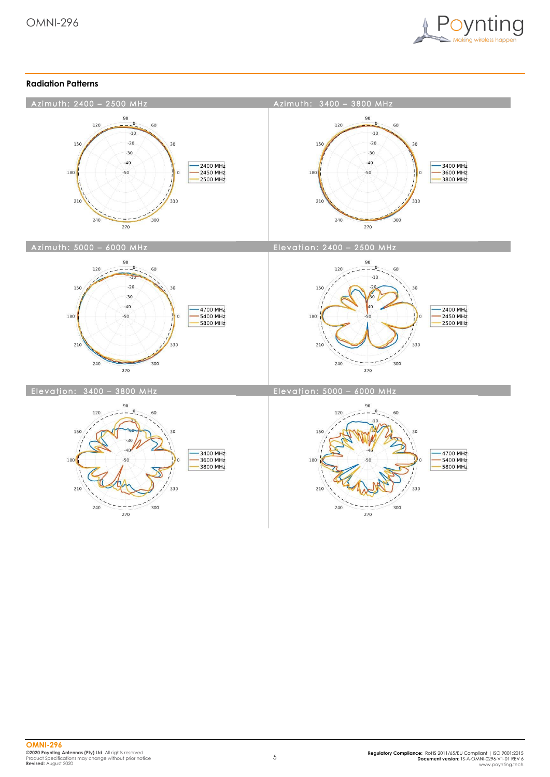

#### **Radiation Patterns**

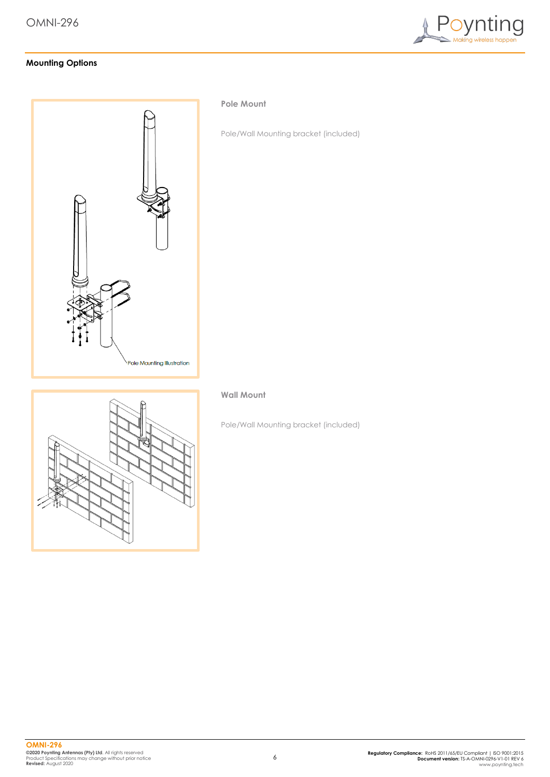

### **Mounting Options**



#### **Pole Mount**

Pole/Wall Mounting bracket (included)

## **Wall Mount**

Pole/Wall Mounting bracket (included)